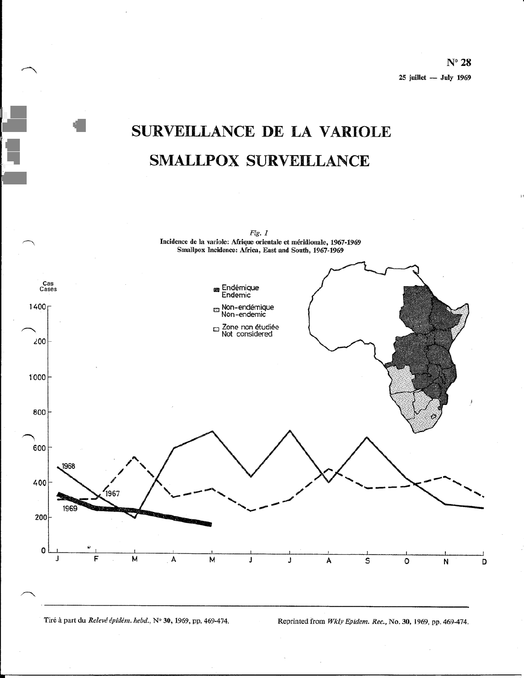$N^{\circ}$  28  $25$  juillet  $-$  July 1969

# SURVEILLANCE DE LA VARIOLE **SMALLPOX SURVEILLANCE**



Tiré à part du Relevé épidém. hebd., Nº 30, 1969, pp. 469-474.

Reprinted from Wkly Epidem. Rec., No. 30, 1969, pp. 469-474.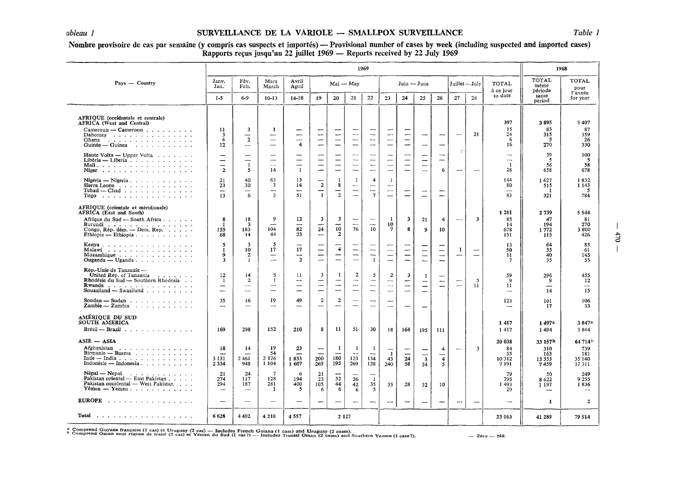## *ableau 1* SURVEILLANCE DE LA VARIOLE - SMALLPOX SURVEILLANCE *Table 1*

### Nombre provisoire de cas par semaine (y compris cas suspects et importés) — Provisional number of cases by week (including suspected and imported cases) Rapports reçus jusqu'au 22 juillet 1969 — Reports received by 22 July 1969

|                                                                                                                                                                                             | 1969                                                 |                                                                           |                                                                                        |                                            |                                                             |                                                           |                                                                                      |                                                                                       |                                                                                                | 1968                                                           |                                                                 |                                                                                  |                               |                                 |                                                       |                                           |                                                      |
|---------------------------------------------------------------------------------------------------------------------------------------------------------------------------------------------|------------------------------------------------------|---------------------------------------------------------------------------|----------------------------------------------------------------------------------------|--------------------------------------------|-------------------------------------------------------------|-----------------------------------------------------------|--------------------------------------------------------------------------------------|---------------------------------------------------------------------------------------|------------------------------------------------------------------------------------------------|----------------------------------------------------------------|-----------------------------------------------------------------|----------------------------------------------------------------------------------|-------------------------------|---------------------------------|-------------------------------------------------------|-------------------------------------------|------------------------------------------------------|
| Pays - Country                                                                                                                                                                              |                                                      | Fév.<br>Jany.<br>Mars<br>Jan.<br>Fcb.<br>March                            |                                                                                        | Avril<br>Mai — May<br>April                |                                                             |                                                           | $Join - June$                                                                        |                                                                                       |                                                                                                | Juillet-July                                                   |                                                                 | TOTAL<br>à ce jour                                                               | TOTAL<br>même<br>période      | <b>TOTAL</b><br>pour<br>l'année |                                                       |                                           |                                                      |
|                                                                                                                                                                                             | $1 - 5$                                              | 6-9                                                                       | $10 - 13$                                                                              | $14 - 18$                                  | 19                                                          | 20                                                        | 21                                                                                   | 22                                                                                    | 23                                                                                             | 24                                                             | 25                                                              | 26                                                                               | 27                            | 28                              | to date                                               | same<br>period                            | for year                                             |
| AFRIQUE (occidentale et centrale)<br><b>AFRICA</b> (West and Central)                                                                                                                       |                                                      |                                                                           |                                                                                        |                                            |                                                             |                                                           |                                                                                      |                                                                                       |                                                                                                |                                                                |                                                                 |                                                                                  |                               |                                 | 397                                                   | 3895                                      | 5 4 0 7                                              |
| Cameroun — Cameroon<br>Dahomey<br>Ghana<br>المتحام والمتحام والمتحام والمتحام والمتحام والمتحا<br>Guinée — Guinea $\cdots$                                                                  | 11<br>3<br>$\overline{4}$<br>$12 \,$                 | 3<br>$\overline{2}$                                                       | -1<br>$\overline{\phantom{0}}$<br>$\overline{\phantom{0}}$<br>$\overline{\phantom{0}}$ | ∽<br>-<br>--<br>$\overline{4}$             | ---<br>--<br>-                                              | $\overline{\phantom{0}}$<br>-<br>—<br>—                   | $\overline{\phantom{a}}$<br>$\overline{\phantom{0}}$<br>$\overline{\phantom{0}}$     | ---<br>$\overline{\phantom{a}}$<br>$\overline{\phantom{0}}$<br>--                     | -<br>-<br>$\overline{\phantom{0}}$<br>-                                                        | --<br>—                                                        | -<br>---                                                        | -                                                                                | $\overline{a}$                | 21                              | 15<br>24<br>6<br>16                                   | 83<br>315<br>-5<br>270                    | 87<br>359<br>26<br>330                               |
| <b>Haute Volta</b> — Upper Volta $\ldots$<br>Libéria — Liberia<br>Niger                                                                                                                     | $\qquad \qquad$<br>$\qquad \qquad$<br>$\overline{2}$ | $\overline{\phantom{0}}$<br>$\overline{\phantom{0}}$<br>$\mathbf{1}$<br>5 | $\hspace{0.05cm}$<br>$\sim$<br>14                                                      | —<br>—<br>—<br>$\mathbf{1}$                | —<br>$\overline{\phantom{0}}$                               | —<br>$\overline{\phantom{0}}$<br>$\overline{\phantom{a}}$ | --<br>$\overline{\phantom{a}}$<br>$-\!-\!$<br>$\overline{\phantom{a}}$               | —<br>—<br>$\hspace{0.05cm}$<br>$\overline{\phantom{a}}$                               | --<br>$\qquad \qquad -$<br>$\mathcal{L}_{\mathbf{r}}$<br>---                                   | -<br>$\overline{\phantom{0}}$<br>$\overline{\phantom{0}}$<br>— | --<br>$\overline{\phantom{0}}$                                  | --<br>$\overline{\phantom{0}}$<br>6                                              | $\mathfrak{c}$<br>--          | -                               | ---<br>$\overline{\phantom{a}}$<br>$\mathbf{1}$<br>28 | 39<br>-5<br>56<br>658                     | 100<br>-5<br>58<br>678                               |
| Nigéria — Nigeria<br>Sierra Leone<br>$Tchad$ - $Chad$ , , ,<br>$Togo$                                                                                                                       | 21<br>23<br>$\overline{\phantom{0}}$<br>13           | 40<br>30<br>6                                                             | 63<br>3<br>$\overline{\phantom{m}}$<br>3                                               | 13<br>14<br>$\overline{\phantom{0}}$<br>51 | $\overline{a}$<br>—<br>$\mathbf{1}$                         | 1<br>8<br>—<br>$\overline{2}$                             | $\mathbf{1}$<br>$-\,$<br>$\overline{\phantom{m}}$<br>$\sim$                          | 4<br>$\overline{\phantom{0}}$<br>$\overline{7}$                                       | -1<br>---<br>--<br>$\overline{\phantom{0}}$                                                    | $\overline{\phantom{a}}$<br>$\overline{\phantom{0}}$           | ---<br>-----                                                    | -<br>$\overline{\phantom{0}}$                                                    |                               |                                 | 144<br>80<br>---<br>83                                | 1627<br>515<br>321                        | 1832<br>1 1 4 3<br>-5<br>784                         |
| AFRIQUE (orientale et méridionale)<br>AFRICA (East and South)<br>Afrique du Sud — South Africa<br>Burundi<br>Congo, Rép. dém. - Dem. Rep.<br>Ethiopie — Ethiopia $\cdots$ $\cdots$ $\cdots$ | 8<br>-1<br>155<br>68                                 | 18<br>3<br>183<br>14                                                      | 9<br>104<br>44                                                                         | 12<br>--<br>82<br>23                       | 3<br>24<br>--                                               | 3<br><u>.</u><br>10<br>$\overline{2}$                     | $\sim$<br>76                                                                         | $\overline{\phantom{m}}$<br>10                                                        | -1<br>10<br>7                                                                                  | 3<br>8                                                         | 21<br>9                                                         | 4<br>10                                                                          | $\overline{\phantom{m}}$      | 3                               | 1 2 1 1<br>85<br>14<br>678<br>151                     | 2739<br>47<br>194<br>1772<br>115          | 5544<br>81<br>270<br>3800<br>426                     |
| Kenya $\ldots$ $\ldots$ $\ldots$ $\ldots$ $\ldots$ $\ldots$<br>Malawi<br>Mozambique                                                                                                         | 5<br>-1<br>9<br>3                                    | 3<br>10<br>$\mathbf{2}$<br>-1                                             | 5<br>17<br>$\overline{\phantom{m}}$<br>$\overline{\phantom{a}}$                        | 17<br>-<br>$\overline{2}$                  | $\overline{\phantom{0}}$<br>---<br>$\overline{\phantom{0}}$ | 4<br>—<br>—                                               | $\overline{\phantom{0}}$<br>$\overline{\phantom{0}}$<br>$\overbrace{\phantom{aaaa}}$ | $\overline{\phantom{m}}$<br>-<br>$\mathbf{1}$                                         | $\overline{\phantom{0}}$<br>$\overline{\phantom{0}}$                                           | -<br>—                                                         | -<br>$\overline{\phantom{0}}$<br>$\overline{\phantom{0}}$       | --<br>$\overline{\phantom{0}}$                                                   | -1<br>$-\cdot$                | $\overline{\phantom{0}}$        | 13<br>50<br>11<br>7                                   | 64<br>35<br>40<br>35                      | 85<br>61<br>145<br>55                                |
| Rép. Unie de Tanzanie -<br>United Rep. of Tanzania $\ldots$ , $\ldots$<br>Rhodésie du Sud - Southern Rhodesia<br>Rwanda<br>Souaziland $-$ Swaziland $\ldots$ $\ldots$ $\ldots$              | 12<br>$\mathbf{I}$<br>—<br>$\overline{\phantom{a}}$  | 14<br>$\overline{2}$<br>$\hspace{0.05cm}$<br>----                         | 5<br>1<br>$\overline{\phantom{a}}$                                                     | 11<br>-<br>$\overline{\phantom{0}}$<br>—   | 3<br>—<br>-<br>-                                            | $\mathbf{1}$<br>—<br>$\overline{\phantom{0}}$<br>—        | 2<br>$\overline{\phantom{a}}$<br>$\overline{\phantom{a}}$                            | 5<br>$\overline{\phantom{a}}$<br>$\overline{\phantom{a}}$<br>$\overline{\phantom{a}}$ | $\mathbf{2}$<br>$\overline{\phantom{0}}$<br>$\overline{\phantom{0}}$<br>$\qquad \qquad \qquad$ | $\overline{\mathbf{3}}$<br>-<br>-<br>$\overline{\phantom{a}}$  | 1<br>$\qquad \qquad \longleftarrow$<br>$\overline{\phantom{0}}$ | $\overline{\phantom{a}}$<br>$\overline{\phantom{0}}$<br>$\overline{\phantom{a}}$ | ÷<br>$\overline{\phantom{m}}$ | $\mathbf{5}$<br>11              | 59<br>9<br>11<br>---                                  | 296<br>۹<br>سب<br>14                      | 455<br>12<br>--<br>15                                |
| $Zambie - Zambia$                                                                                                                                                                           | 35<br>$\overline{\phantom{a}}$                       | 16<br>$\overline{\phantom{m}}$                                            | 19<br>$\overline{\phantom{a}}$                                                         | 49<br>$\overline{\phantom{0}}$             | $\mathbf{2}$<br>--                                          | $\overline{2}$<br>$\overline{\phantom{0}}$                | $\overline{\phantom{a}}$<br>$\sim$                                                   | $\overline{\phantom{0}}$<br>$\overline{\phantom{a}}$                                  | -<br>$\overline{\phantom{0}}$                                                                  | $\overline{\phantom{a}}$                                       | —                                                               |                                                                                  |                               |                                 | 123                                                   | 101<br>17                                 | 106<br>33                                            |
| AMÉRIOUE DU SUD<br>SOUTH AMERICA<br>Brésil — Brazil $\ldots$ , , , , , , , , , , , ,                                                                                                        | 169                                                  | 298                                                                       | 152                                                                                    | 210                                        | 8                                                           | 11                                                        | 51                                                                                   | 30                                                                                    | 18                                                                                             | 164                                                            | 195                                                             | 111                                                                              |                               |                                 | 1 4 1 7<br>1417                                       | 1497a<br>1494                             | 3847a<br>3844                                        |
| $ASIE - ASIA$<br>Afghanistan<br>Birmanie - Burma<br>Inde — India                                                                                                                            | 18<br>3 1 3 1<br>2 3 3 4                             | 14<br>2461<br>948                                                         | 19<br>54<br>2 1 7 6<br>1 1 0 4                                                         | 23<br>—<br>1833<br>1 607                   | ÷<br>200<br>269                                             | 1<br>معبد<br>180<br>195                                   | -1<br>$\sim$<br>123<br>269                                                           | 1<br>$\overline{\phantom{a}}$<br>134<br>128                                           | $\mathbf{1}$<br>43<br>240                                                                      | —<br>$\overline{\phantom{0}}$<br>24<br>58                      | --<br>$\overline{\phantom{a}}$<br>$\overline{\mathbf{3}}$<br>34 | 4<br>$\overline{\phantom{0}}$<br>$\overline{4}$<br>$\mathfrak{s}$                | $\overline{\phantom{m}}$      | $\overline{\mathbf{3}}$         | 20 038<br>84<br>55<br>10 3 12<br>7 191                | 33 157b<br>310<br>163<br>15 3 5 3<br>7459 | 64 714 <sup>b</sup><br>739<br>181<br>35 140<br>17311 |
| $Nepal - Nepal$ $\cdots$ $\cdots$ $\cdots$<br>Pakistan oriental - East Pakistan<br>Pakistan occidental - West Pakistan<br>$Y$ émen — Yemen                                                  | 21<br>274<br>294<br>$\overline{\phantom{0}}$         | 24<br>117<br>187<br>$\overline{\phantom{0}}$                              | 7<br>128<br>281<br>1                                                                   | -6<br>194<br>400<br>5                      | 21<br>23<br>105<br>6                                        | ---<br>32<br>44<br>6                                      | $\sim$<br>26<br>42<br>6                                                              | $\overline{\phantom{a}}$<br>$\mathbf{1}$<br>35<br>5                                   | 35                                                                                             | 28                                                             | 32                                                              | 10                                                                               |                               |                                 | -79<br>795<br>1493<br>29                              | 50<br>8622<br>1 1 9 7                     | 249<br>9 2 5 5<br>1836                               |
| <b>EUROPE</b>                                                                                                                                                                               | —                                                    |                                                                           |                                                                                        | ---                                        | —                                                           | —                                                         | $-\cdot$                                                                             | -                                                                                     | ---                                                                                            | $\overline{\phantom{a}}$                                       | -                                                               | -                                                                                | -                             |                                 | --                                                    | 1                                         | $\mathbf{2}$                                         |
|                                                                                                                                                                                             | 6628                                                 | 4 4 0 2                                                                   | 4 2 1 0                                                                                | 4557                                       |                                                             | 2 1 2 7                                                   |                                                                                      |                                                                                       |                                                                                                |                                                                |                                                                 |                                                                                  |                               |                                 | 23 063                                                | 41 289                                    | 79 514                                               |

a Comprend Guyane française (1 cas) et Uruguay (2 cas) — Includes French Guiana (1 case) and Uruguay (2 cases).<br>b Comprend Oman sous régime de traité (2 cas) et Yémen du Sud (1 cas?) — Includes Trucial Oman (2 cases) and S

 $6/2$  $\overline{\phantom{a}}$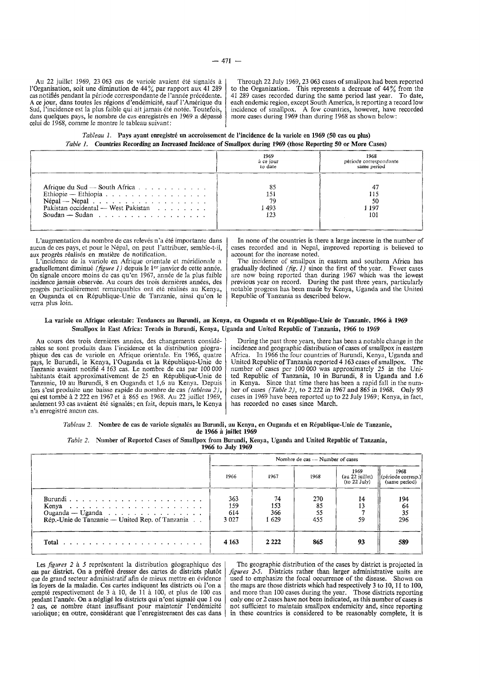Au 22 juillet 1969, 23 063 cas de variole avaient été signalés à !'Organisation, soit une diminution de 44% par rapport aux 41 289 cas notifiés pendant la période correspondante de l'année précédente. Ace jour, dans toutes les regions d'endemicite, sauf !'Amerique du Sud, l'incidence est la plus faible qui ait jamais été notée. Toutefois, dans quelques pays, le nombre de cas enregistrés en 1969 a dépassé celui de 1968, comme le montre le tableau suivant;

Through 22 July 1969, 23 063 cases of smallpox had been reported to the Organization. This represents a decrease of 44% from the 41 289 cases recorded during the same period last year. To date, each endemic region, except South America, is reporting a record low incidence of smallpox. A few countries, however, have recorded more cases during 1969 than during 1968 as shown below:

*Tableau 1.* Pays ayant enregistré un accroissement de l'incidence de la variole en 1969 (50 cas ou plus) *Table 1.* Countries Recording an Increased Incidence of SmaUpox during 1969 (those Reporting 50 or More Cases)

|                                                                                                                                                                                                                | 1969<br>à ce jour<br>to date | 1968<br>période correspondante<br>same period |
|----------------------------------------------------------------------------------------------------------------------------------------------------------------------------------------------------------------|------------------------------|-----------------------------------------------|
| Afrique du Sud $\sim$ South Africa $\ldots$ $\ldots$ $\ldots$<br>$N$ épal $-$ Nepal $\ldots$ $\ldots$ $\ldots$ $\ldots$ $\ldots$ $\ldots$ $\ldots$<br>Pakistan occidental — West Pakistan<br>Soudan $-$ Sudan, | 79<br>-493<br>123            | 50<br>1 197<br>101                            |

L'augmentation du nombre de cas relevés n'a été importante dans aucun de ces pays, et pour le Nepal, on peut I 'attribuer, semble-t-il, aux progres realises en matiere de notification. aux progrès réalisés en matière de notification.<br>L'incidence de la variole en Afrique orientale et méridionale a

graduellement diminué *(figure 1)* depuis le 1<sup>er</sup> janvier de cette année. On signale encore moins de cas qu'en 1967, annee de la plus faible incidence jamais observée. Au cours des trois dernières années, des progrès particulièrement remarquables ont été réalisés au Kenya, en Ouganda et en Republique-Unie de Tanzanie, ainsi qu'on Je verra plus loin.

In none of the countries is there a large increase in the number of cases recorded and in Nepal, improved reporting is believed to account for the increase noted.

The incidence of smallpox in eastern and southern Africa has gradually declined *(fig.* 1) since the first of the year. Fewer cases are now being reported than during 1967 which was the lowest previous year on record. During the past three years, particularly notable progress has been made by Kenya, Uganda and the United Republic of Tanzania as described below.

#### La variole en Afrique orientale: Tendances au Burundi, au Kenya, en Ouganda et en République-Unie de Tanzanie, 1966 à 1969 Smallpox in East Africa: Trends in Burundi, Kenya, Uganda and United Republic of Tanzania, 1966 to 1969

Au cours des trois dernières années, des changements considérables se sont produits dans !'incidence et Ia distribution geographique des cas de variole en Afrique orientale. En 1966, quatre pays, le Burundi, le Kenya, l'Ouganda et Ia Republique-Unie de Tanzanie avaient notifie 4 163 cas. Le nombre de cas par 100 000 habitants etait approximativement de 25 en Republique-Unie de Tanzanie, 10 au Burundi, 8 en Ouganda ct 1,6 au Kenya. Depuis lors s 'est produite une baisse rapide du nombre de cas *(tableau 2),*  qui est tombe a 2 222 en 1967 et a 865 en 1968. Au 22 juillet 1969, seulement 93 cas avaient été signalés; en fait, depuis mars, le Kenya n'a enregistré aucun cas.

During the past three years, there has been a notable change in the incidence and geographic distribution of cases of smallpox in eastern Africa. In 1966 the four countries of Burundi, Kenya, Uganda and<br>United Republic of Tanzania reported 4 163 cases of smallpox. The United Republic of Tanzania reported 4 163 cases of smallpox. number of cases per 100 000 was approximately 25 in the United Republic of Tanzania, 10 in Burundi, 8 in Uganda and 1.6 in Kenya. Since that time there has been a rapid fall in the number of cases *(Table 2),* to 2 222 in 1967 and 865 in 1968. Only 93 cases in 1969 have been reported up to 22 July 1969; Kenya, in fact, has recorded no cases since March.

*Tableau 2.* Nombre de cas de variole signales au Burundi, au Kenya, en Ouganda et en Republique-Unie de Tanzanie, de 1966 a jnillet 1969

| Table 2. Number of Reported Cases of Smallpox from Burundi, Kenya, Uganda and United Republic of Tanzania, |
|------------------------------------------------------------------------------------------------------------|
| 1966 to July 1969                                                                                          |

|                                                                                | Nombre de cas - Number of cases |                           |                        |                                           |                                             |  |  |  |
|--------------------------------------------------------------------------------|---------------------------------|---------------------------|------------------------|-------------------------------------------|---------------------------------------------|--|--|--|
|                                                                                | 1966                            | 1967                      | 1968                   | 1969<br>$(au 22$ juillet)<br>(to 22 July) | 1968<br>(période corresp.)<br>(same period) |  |  |  |
| Ouganda — Uganda $\ldots$ ,<br>Rép.-Unie de Tanzanie — United Rep. of Tanzania | 363<br>159<br>614<br>3 0 2 7    | 74<br>153<br>366<br>1 629 | 270<br>85<br>55<br>455 | 14<br>59                                  | 194<br>64<br>35<br>296                      |  |  |  |
|                                                                                | 4 1 6 3                         | 2 2 2 2                   | 865                    | 93                                        | 589                                         |  |  |  |

Les *figures* 2 à 5 représentent la distribution géographique des cas par district. On a préféré dresser des cartes de districts plutôt que de grand secteur administratif afin de mieux mettre en evidence les foyers de la maladie. Ces cartes indiquent les districts où l'on a compte respectivement de 3 a 10, de 11 a *100,* et plus de 100 cas pendant l'annee. On a neglige les districts qui n'ont signale que 1 ou 2 cas, ce nombre etant insuffisant pour maintenir l'endemicite variolique; en outre, considérant que l'enregistrement des cas dans

The geographic distribution of the cases by district is projected in *figures* 2-5. Districts rather than larger administrative units are used to emphasize the focal occurrence of the disease. Shown on the maps are those districts which had respectively 3 to 10, 11 to 100, and more than 100 cases during the year. Those districts reporting only one or 2 cases have not been indicated, as this number of cases is not sufficient to maintain smallpox endemicity and, since reporting in these countries is considered to be reasonably complete, it is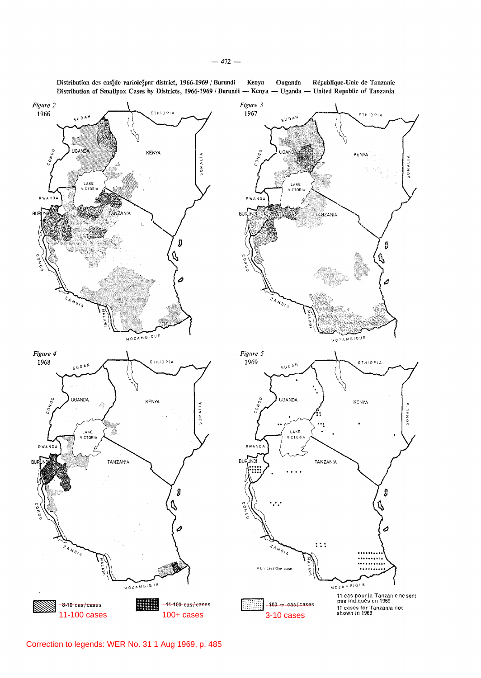

Distribution des cas<sup>t</sup>de variole?par district, 1966-1969 / Burundi — Kenya — Ouganda — République-Unie de Tanzanie Distribution of Smallpox Cases by Districts, 1966-1969 / Burundi - Kenya - Uganda - United Republic of Tanzania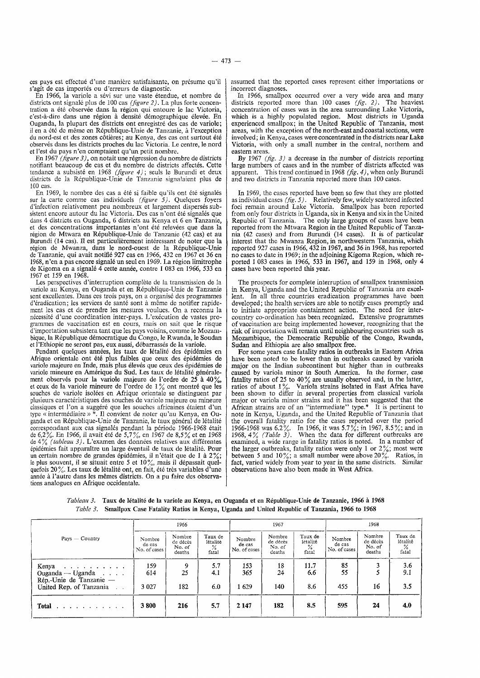ces pays est effectue d'tme manicrc satisfaisantc, on presume qu'il s'agit de cas importés ou d'erreurs de diagnostic.

En 1966, !a variole a sevi sur une vaste etendue, et nombre de districts ont signalé plus de 100 cas *(figure 2)*. La plus forte concentration a été observée dans la région qui entoure le lac Victoria, c'est-a-dire dans une region a densite demographique elevee. En Ouganda, la plupart des districts ont enregistré des cas de variole; il en a été de même en République-Unie de Tanzanie, à l'exception du nord-est et des zones côtières; au Kenya, des cas ont surtout été observes dans les districts proches du lac Victoria. Le centre, le nord et !'est du pays n'en comptaient qu'un petit nombre.

En 1967 *(figure* 3), on notait une regression du nombre de districts notifiant beaucoup de cas et du nombre de districts affectés. Cette tendance a subsiste en 1968 *(figure* 4); seuls le Burundi et deux districts de la Rcpublique-Unie de Tanzanie signalaient plus de 100 cas.

En 1969, le nombre des cas a été si faible qu'ils ont été signalés sur la carte comme cas individuels *(figure* 5). Quelques foyers d'infection relativcment peu nombreux et largement disperses subsistent encore autour du lac Victoria. Des cas n'ont été signalés que dans 4 districts en Ouganda, 6 districts au Kenya et 6 en Tanzanie, et des concentrations importantes n'ont été relevées que dans la région de Mtwara en République-Unie de Tanzanie (42 cas) et au Burundi (14 cas). II est particulierement interessant de noter que la région de Mwanza, dans le nord-ouest de la République-Unie de Tanzanie, qui avait notifie 927 cas en 1966, 432 en 1967 et 36 en 1968, n'en a pas encore signale un seul en 1969. La region limitrophe de Kigoma en a signalé 4 cette année, contre 1 083 en 1966, 533 en 1967 et 159 en 1968.

Les perspectives d'interruption complete de la transmission de la variole au Kenya, en Ouganda et en Republique-Unie de Tanzanie sont excellentes. Dans ces trois pays, on a organisé des programmes d'éradication; les services de santé sont à même de notifier rapidement les cas et de prendre les mesures voulues. On a reconnu la nécessité d'une coordination inter-pays. L'exécution de vastes programmes de vaccination est en cours, mais on sait que le risque d'importation subsistera tant que les pays voisins, comme le Mozambique, la République démocratique du Congo, le Rwanda, le Soudan et l'Ethiopie ne seront pas, eux aussi, debarrasses de la variole.

Pendant quelques années, les taux de létalité des épidémies en Afrique orientale ont ete plus faibles que ceux des epidemics de variole majeure en Inde, mais plus élevés que ceux des épidémies de variole mineure en Amérique du Sud. Les taux de létalité généralement observés pour la variole majeure de l'ordre de 25 à 40%, et ceux de la variole mineure de l'ordre de 1% ont montre que les souches de variole isolées en Afrique orientale se distinguent par plusieurs caractéristiques des souches de variole majeure ou mineure classiques et l'on a suggéré que les souches africaines étaient d'un type« intermediaire »\*.II convient de noter qu'au Kenya, en Ouganda et en République-Unie de Tanzanie, le taux général de létalité correspondant aux cas signalés pendant la période 1966-1968 était de 6,2%. En 1966, il avait ete de 5,7%, en 1967 de 8,5% et en 1968 de 4% *(tableau 3).* L'examen des donnees relatives aux differentes epidemies fait apparaitre un large eventail de taux de letalite. Pour un certain nombre de grandes épidémies, il n'était que de 1 à 2% le plus souvent, il se situait entre 5 et 10%, mais il dépassait quelquefois  $20\%$ . Les taux de létalité ont, en fait, été très variables d'une année à l'autre dans les mêmes districts. On a pu faire des observations analogues en Afrique occidentale.

assumed that the reported cases represent either importations or incorrect diagnoses.

In 1966, smallpox occurred over a very wide area and many districts reported more than 100 cases (fig. 2). The heaviest concentration of cases was in the area surrounding Lake Victoria, which is a highly populated region. Most districts in Uganda experienced smallpox; in the United Republic of Tanzania, most areas, with the exception of the north-east and coastal sections, were involved; in Kenya, cases were concentrated in the districts near Lake Victoria, with only a small number in the central, northern and eastern areas.

By 1967 *(fig. 3)* a decrease in the number of districts reporting large numbers of cases and in the number of districts affected was apparent. This trend continued in 1968 (fig. 4), when only Burundi and two districts in Tanzania reported more than 100 cases.

In 1969, the cases reported have been so few that they are plotted as individual cases *(jig.* 5). Relatively few, widely scattered infected foci remain around Lake Victoria. Smallpox has been reported from only four districts in Uganda, six in Kenya and six in the United Republic of Tanzania. The only large groups of cases have been reported from the Mtwara Region in the United Republic of Tanzania (42 cases) and from Burundi (14 cases). It is of particular interest that the Mwanza Region, in northwestern Tanzania, which reported 927 cases in 1966, 432 in 1967, and 36 in 1968, has reported no cases to date in 1969; in the adjoining Kigoma Region, which reported 1 083 cases in 1966, 533 in 1967, and 159 in 1968, only 4 cases have been reported this year.

The prospects for complete interruption of smallpox transmission in Kenya, Uganda and the United Republic of Tanzania are excellent. In all three countries eradication programmes have been developed; the health services are able to notify cases promptly and to initiate appropriate containment action. The need for intercountry co-ordination has been recognized. Extensive programmes of vaccination are being implemented however, recognizing that the risk of importation will remain until neighbouring countries such as Mozambique, the Democratic Republic of the Congo, Rwanda, Sudan and Ethiopia are also smallpox free.

For some years case fatality ratios in outbreaks in Eastern Africa have been noted to be lower than in outbreaks caused by variola major on the Indian subcontinent but higher than in outbreaks caused by variola minor in South America. In the former, case fatality ratios of 25 to 40% are usually observed and, in the latter, ratios of about  $1\%$ . Variola strains isolated in East Africa have been shown to differ in several properties from classical variola major or variola minor strains and it has been suggested that the African strains are of an "intermediate" type.\* It is pertinent to note in Kenya, Uganda, and the United Republic of Tanzania that the overall fatality ratio for the cases reported over the period 1966-1968 was 6.2%. In 1966, it was 5.7%; in 1967, 8.5%; and in 1968, 4% *(Table 3).* When the data for different outbreaks are examined, a wide range in fatality ratios is noted. In a number of the larger outbreaks, fatality ratios were only 1 or  $2\frac{9}{6}$ ; most were between 5 and  $10\frac{\nu}{6}$ ; a small number were above  $20\frac{\nu}{6}$ . Ratios, in fact, varied widely from year to year in the same districts. Similar observations have also been made in West Africa.

*Tableau 3.* Taux de Ietalite de Ia variole au Kenya, en Ouganda et en Republique-Unie de Tanzanie, 1966 a 1968 *Table 3.* Smallpox Case Fatality Ratios in Kenya, Uganda and United Republic of Tanzania, 1966 to 1968

|                                                                                                                                                        |                                  | 1966                                   |                                      |                                  | 1967                                   |                                   | 1968                             |                                        |                                                  |
|--------------------------------------------------------------------------------------------------------------------------------------------------------|----------------------------------|----------------------------------------|--------------------------------------|----------------------------------|----------------------------------------|-----------------------------------|----------------------------------|----------------------------------------|--------------------------------------------------|
| $Pays - Country$                                                                                                                                       | Nombre<br>de cas<br>No. of cases | Nombre<br>de décès<br>No. of<br>deaths | Taux de<br>létalité<br>$\%$<br>fatal | Nombre<br>de cas<br>No. of cases | Nombre<br>de décès<br>No. of<br>deaths | Taux de<br>létalité<br>℅<br>fatal | Nombre<br>de cas<br>No. of cases | Nombre<br>de décès<br>No. of<br>deaths | Taux de<br>létalité<br>$\frac{\%}{\text{fatal}}$ |
| Kenya<br>the contract of the contract of the<br>Ouganda — Uganda<br>Rép.-Unie de Tanzanie -                                                            | 159<br>614                       | 9<br>25                                | 5.7<br>4.1                           | 153<br>365                       | 18<br>24                               | 11.7<br>6.6                       | 85<br>55                         | 3                                      | 3.6<br>9.1                                       |
| United Rep. of Tanzania                                                                                                                                | 3 0 2 7                          | 182                                    | 6.0                                  | 1629                             | 140                                    | 8.6                               | 455                              | 16                                     | 3.5                                              |
| Total<br>$\frac{1}{2}$ , $\frac{1}{2}$ , $\frac{1}{2}$ , $\frac{1}{2}$ , $\frac{1}{2}$ , $\frac{1}{2}$ , $\frac{1}{2}$ , $\frac{1}{2}$ , $\frac{1}{2}$ | 3800                             | 216                                    | 5.7                                  | 2 147                            | 182                                    | 8.5                               | 595                              | 24                                     | 4.0                                              |